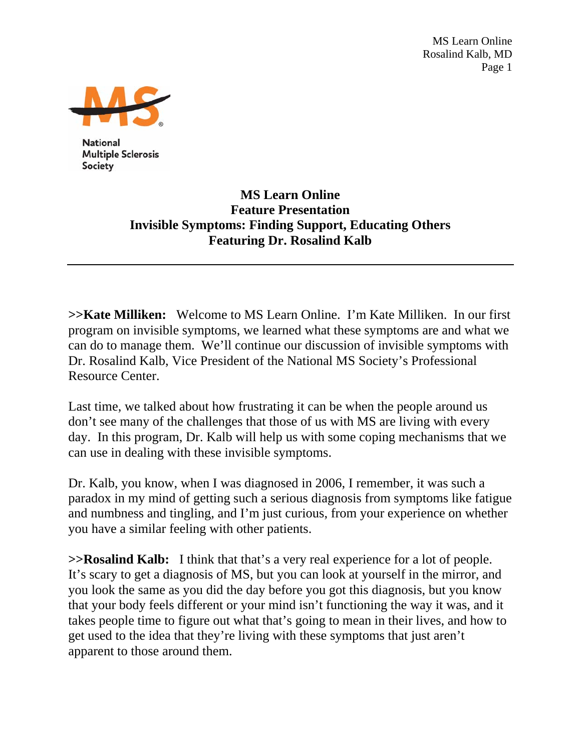MS Learn Online Rosalind Kalb, MD Page 1



**National Multiple Sclerosis** Society

## **MS Learn Online Feature Presentation Invisible Symptoms: Finding Support, Educating Others Featuring Dr. Rosalind Kalb**

**>>Kate Milliken:** Welcome to MS Learn Online. I'm Kate Milliken. In our first program on invisible symptoms, we learned what these symptoms are and what we can do to manage them. We'll continue our discussion of invisible symptoms with Dr. Rosalind Kalb, Vice President of the National MS Society's Professional Resource Center.

Last time, we talked about how frustrating it can be when the people around us don't see many of the challenges that those of us with MS are living with every day. In this program, Dr. Kalb will help us with some coping mechanisms that we can use in dealing with these invisible symptoms.

Dr. Kalb, you know, when I was diagnosed in 2006, I remember, it was such a paradox in my mind of getting such a serious diagnosis from symptoms like fatigue and numbness and tingling, and I'm just curious, from your experience on whether you have a similar feeling with other patients.

**>>Rosalind Kalb:** I think that that's a very real experience for a lot of people. It's scary to get a diagnosis of MS, but you can look at yourself in the mirror, and you look the same as you did the day before you got this diagnosis, but you know that your body feels different or your mind isn't functioning the way it was, and it takes people time to figure out what that's going to mean in their lives, and how to get used to the idea that they're living with these symptoms that just aren't apparent to those around them.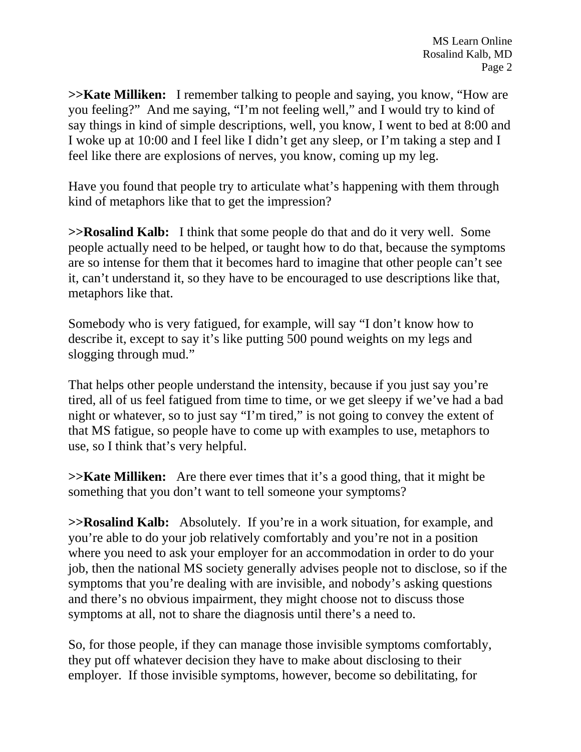**>>Kate Milliken:** I remember talking to people and saying, you know, "How are you feeling?" And me saying, "I'm not feeling well," and I would try to kind of say things in kind of simple descriptions, well, you know, I went to bed at 8:00 and I woke up at 10:00 and I feel like I didn't get any sleep, or I'm taking a step and I feel like there are explosions of nerves, you know, coming up my leg.

Have you found that people try to articulate what's happening with them through kind of metaphors like that to get the impression?

**>>Rosalind Kalb:** I think that some people do that and do it very well. Some people actually need to be helped, or taught how to do that, because the symptoms are so intense for them that it becomes hard to imagine that other people can't see it, can't understand it, so they have to be encouraged to use descriptions like that, metaphors like that.

Somebody who is very fatigued, for example, will say "I don't know how to describe it, except to say it's like putting 500 pound weights on my legs and slogging through mud."

That helps other people understand the intensity, because if you just say you're tired, all of us feel fatigued from time to time, or we get sleepy if we've had a bad night or whatever, so to just say "I'm tired," is not going to convey the extent of that MS fatigue, so people have to come up with examples to use, metaphors to use, so I think that's very helpful.

**>>Kate Milliken:** Are there ever times that it's a good thing, that it might be something that you don't want to tell someone your symptoms?

**>>Rosalind Kalb:** Absolutely. If you're in a work situation, for example, and you're able to do your job relatively comfortably and you're not in a position where you need to ask your employer for an accommodation in order to do your job, then the national MS society generally advises people not to disclose, so if the symptoms that you're dealing with are invisible, and nobody's asking questions and there's no obvious impairment, they might choose not to discuss those symptoms at all, not to share the diagnosis until there's a need to.

So, for those people, if they can manage those invisible symptoms comfortably, they put off whatever decision they have to make about disclosing to their employer. If those invisible symptoms, however, become so debilitating, for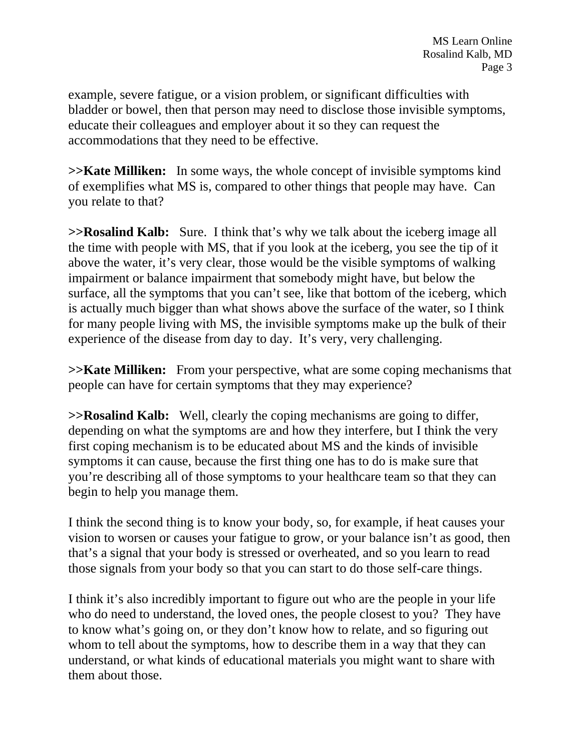example, severe fatigue, or a vision problem, or significant difficulties with bladder or bowel, then that person may need to disclose those invisible symptoms, educate their colleagues and employer about it so they can request the accommodations that they need to be effective.

**>>Kate Milliken:** In some ways, the whole concept of invisible symptoms kind of exemplifies what MS is, compared to other things that people may have. Can you relate to that?

**>>Rosalind Kalb:** Sure. I think that's why we talk about the iceberg image all the time with people with MS, that if you look at the iceberg, you see the tip of it above the water, it's very clear, those would be the visible symptoms of walking impairment or balance impairment that somebody might have, but below the surface, all the symptoms that you can't see, like that bottom of the iceberg, which is actually much bigger than what shows above the surface of the water, so I think for many people living with MS, the invisible symptoms make up the bulk of their experience of the disease from day to day. It's very, very challenging.

**>>Kate Milliken:** From your perspective, what are some coping mechanisms that people can have for certain symptoms that they may experience?

**>>Rosalind Kalb:** Well, clearly the coping mechanisms are going to differ, depending on what the symptoms are and how they interfere, but I think the very first coping mechanism is to be educated about MS and the kinds of invisible symptoms it can cause, because the first thing one has to do is make sure that you're describing all of those symptoms to your healthcare team so that they can begin to help you manage them.

I think the second thing is to know your body, so, for example, if heat causes your vision to worsen or causes your fatigue to grow, or your balance isn't as good, then that's a signal that your body is stressed or overheated, and so you learn to read those signals from your body so that you can start to do those self-care things.

I think it's also incredibly important to figure out who are the people in your life who do need to understand, the loved ones, the people closest to you? They have to know what's going on, or they don't know how to relate, and so figuring out whom to tell about the symptoms, how to describe them in a way that they can understand, or what kinds of educational materials you might want to share with them about those.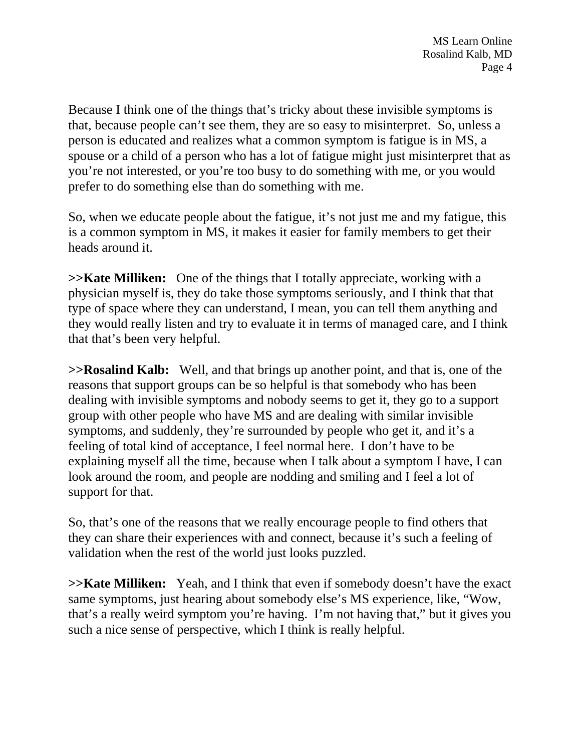Because I think one of the things that's tricky about these invisible symptoms is that, because people can't see them, they are so easy to misinterpret. So, unless a person is educated and realizes what a common symptom is fatigue is in MS, a spouse or a child of a person who has a lot of fatigue might just misinterpret that as you're not interested, or you're too busy to do something with me, or you would prefer to do something else than do something with me.

So, when we educate people about the fatigue, it's not just me and my fatigue, this is a common symptom in MS, it makes it easier for family members to get their heads around it.

**>>Kate Milliken:** One of the things that I totally appreciate, working with a physician myself is, they do take those symptoms seriously, and I think that that type of space where they can understand, I mean, you can tell them anything and they would really listen and try to evaluate it in terms of managed care, and I think that that's been very helpful.

**>>Rosalind Kalb:** Well, and that brings up another point, and that is, one of the reasons that support groups can be so helpful is that somebody who has been dealing with invisible symptoms and nobody seems to get it, they go to a support group with other people who have MS and are dealing with similar invisible symptoms, and suddenly, they're surrounded by people who get it, and it's a feeling of total kind of acceptance, I feel normal here. I don't have to be explaining myself all the time, because when I talk about a symptom I have, I can look around the room, and people are nodding and smiling and I feel a lot of support for that.

So, that's one of the reasons that we really encourage people to find others that they can share their experiences with and connect, because it's such a feeling of validation when the rest of the world just looks puzzled.

**>>Kate Milliken:** Yeah, and I think that even if somebody doesn't have the exact same symptoms, just hearing about somebody else's MS experience, like, "Wow, that's a really weird symptom you're having. I'm not having that," but it gives you such a nice sense of perspective, which I think is really helpful.